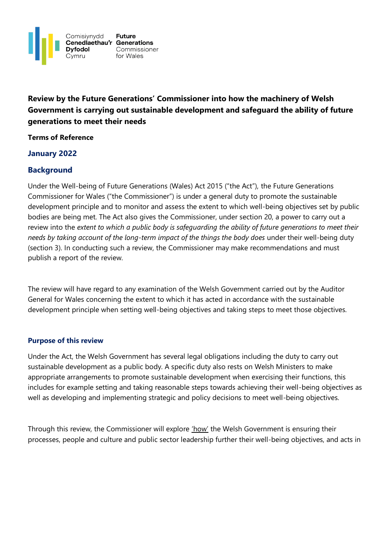

**Review by the Future Generations' Commissioner into how the machinery of Welsh Government is carrying out sustainable development and safeguard the ability of future generations to meet their needs** 

#### **Terms of Reference**

# **January 2022**

# **Background**

Under the Well-being of Future Generations (Wales) Act 2015 ("the Act"), the Future Generations Commissioner for Wales ("the Commissioner") is under a general duty to promote the sustainable development principle and to monitor and assess the extent to which well-being objectives set by public bodies are being met. The Act also gives the Commissioner, under section 20, a power to carry out a review into the *extent to which a public body is safeguarding the ability of future generations to meet their needs by taking account of the long-term impact of the things the body does* under their well-being duty (section 3). In conducting such a review, the Commissioner may make recommendations and must publish a report of the review.

The review will have regard to any examination of the Welsh Government carried out by the Auditor General for Wales concerning the extent to which it has acted in accordance with the sustainable development principle when setting well-being objectives and taking steps to meet those objectives.

#### **Purpose of this review**

Under the Act, the Welsh Government has several legal obligations including the duty to carry out sustainable development as a public body. A specific duty also rests on Welsh Ministers to make appropriate arrangements to promote sustainable development when exercising their functions, this includes for example setting and taking reasonable steps towards achieving their well-being objectives as well as developing and implementing strategic and policy decisions to meet well-being objectives.

Through this review, the Commissioner will explore 'how' the Welsh Government is ensuring their processes, people and culture and public sector leadership further their well-being objectives, and acts in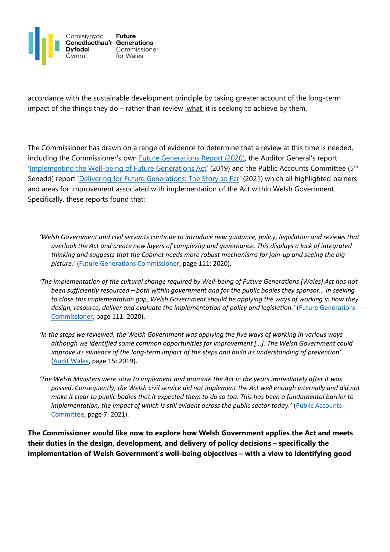

accordance with the sustainable development principle by taking greater account of the long-term impact of the things they do – rather than review ' $w$ hat' it is seeking to achieve by them.

The Commissioner has drawn on a range of evidence to determine that a review at this time is needed, including the Commissioner's own **Future Generations Report (2020)**, the Auditor General's report '[Implementing the Well-being of](https://audit.wales/sites/default/files/2020-11/implementing_wfg_act_wg_0.pdf) Future Generations Act' (2019) and the Public Accounts Committee (5<sup>th</sup> Senedd) report '[Delivering for Future Generations: The Story so Far](https://senedd.wales/media/sjrp5vm0/cr-ld14223-e.pdf)' (2021) which all highlighted barriers and areas for improvement associated with implementation of the Act within Welsh Government. Specifically, these reports found that:

- *'Welsh Government and civil servants continue to introduce new guidance, policy, legislation and reviews that overlook the Act and create new layers of complexity and governance. This displays a lack of integrated thinking and suggests that the Cabinet needs more robust mechanisms for join-up and seeing the big picture.'* [\(Future Generations Commissioner,](https://www.futuregenerations.wales/wp-content/uploads/2020/05/FGC-Report-English.pdf) page 111: 2020).
- *'The implementation of the cultural change required by Well-being of Future Generations (Wales) Act has not been sufficiently resourced – both within government and for the public bodies they sponsor… In seeking to close this implementation gap, Welsh Government should be applying the ways of working in how they design, resource, deliver and evaluate the implementation of policy and legislation.'* [\(Future Generations](https://www.futuregenerations.wales/wp-content/uploads/2020/05/FGC-Report-English.pdf)  [Commissioner,](https://www.futuregenerations.wales/wp-content/uploads/2020/05/FGC-Report-English.pdf) page 111: 2020).
- *'In the steps we reviewed, the Welsh Government was applying the five ways of working in various ways although we identified some common opportunities for improvement […]. The Welsh Government could improve its evidence of the long-term impact of the steps and build its understanding of prevention'*. [\(Audit Wales,](https://audit.wales/sites/default/files/2020-11/implementing_wfg_act_wg_0.pdf) page 15: 2019).
- *'The Welsh Ministers were slow to implement and promote the Act in the years immediately after it was passed. Consequently, the Welsh civil service did not implement the Act well enough internally and did not make it clear to public bodies that it expected them to do so too. This has been a fundamental barrier to implementation, the impact of which is still evident across the public sector today.'* [\(Public Accounts](https://senedd.wales/media/sjrp5vm0/cr-ld14223-e.pdf)  [Committee,](https://senedd.wales/media/sjrp5vm0/cr-ld14223-e.pdf) page 7: 2021).

**The Commissioner would like now to explore how Welsh Government applies the Act and meets their duties in the design, development, and delivery of policy decisions – specifically the implementation of Welsh Government's well-being objectives – with a view to identifying good**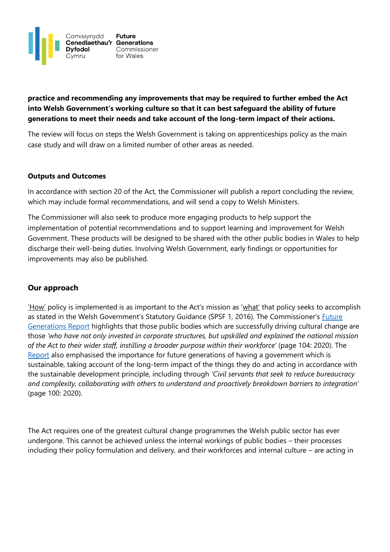

# **practice and recommending any improvements that may be required to further embed the Act into Welsh Government's working culture so that it can best safeguard the ability of future generations to meet their needs and take account of the long-term impact of their actions.**

The review will focus on steps the Welsh Government is taking on apprenticeships policy as the main case study and will draw on a limited number of other areas as needed.

## **Outputs and Outcomes**

In accordance with section 20 of the Act, the Commissioner will publish a report concluding the review, which may include formal recommendations, and will send a copy to Welsh Ministers.

The Commissioner will also seek to produce more engaging products to help support the implementation of potential recommendations and to support learning and improvement for Welsh Government. These products will be designed to be shared with the other public bodies in Wales to help discharge their well-being duties. Involving Welsh Government, early findings or opportunities for improvements may also be published.

## **Our approach**

'How' policy is implemented is as important to the Act's mission as 'what' that policy seeks to accomplish as stated in the Welsh Government's Statutory Guidance (SPSF 1, 2016). The Commissioner's Future [Generations Report](https://www.futuregenerations.wales/wp-content/uploads/2020/05/FGC-Report-English.pdf) highlights that those public bodies which are successfully driving cultural change are those *'who have not only invested in corporate structures, but upskilled and explained the national mission of the Act to their wider staff, instilling a broader purpose within their workforce'* (page 104: 2020). The [Report](https://www.futuregenerations.wales/wp-content/uploads/2020/05/FGC-Report-English.pdf) also emphasised the importance for future generations of having a government which is sustainable, taking account of the long-term impact of the things they do and acting in accordance with the sustainable development principle, including through *'Civil servants that seek to reduce bureaucracy and complexity, collaborating with others to understand and proactively breakdown barriers to integration'*  (page 100: 2020).

The Act requires one of the greatest cultural change programmes the Welsh public sector has ever undergone. This cannot be achieved unless the internal workings of public bodies – their processes including their policy formulation and delivery, and their workforces and internal culture – are acting in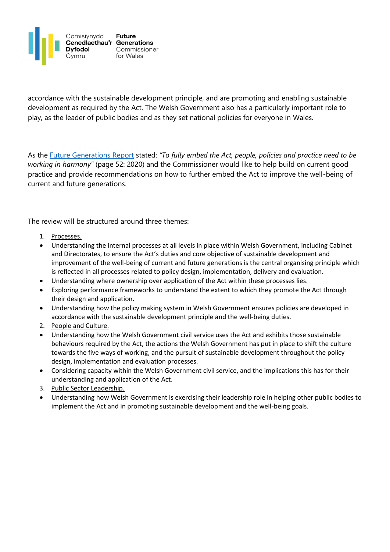

accordance with the sustainable development principle, and are promoting and enabling sustainable development as required by the Act. The Welsh Government also has a particularly important role to play, as the leader of public bodies and as they set national policies for everyone in Wales.

As the [Future Generations Report](https://www.futuregenerations.wales/wp-content/uploads/2020/05/FGC-Report-English.pdf) stated: *"To fully embed the Act, people, policies and practice need to be working in harmony"* (page 52: 2020) and the Commissioner would like to help build on current good practice and provide recommendations on how to further embed the Act to improve the well-being of current and future generations.

The review will be structured around three themes:

- 1. Processes.
- Understanding the internal processes at all levels in place within Welsh Government, including Cabinet and Directorates, to ensure the Act's duties and core objective of sustainable development and improvement of the well-being of current and future generations is the central organising principle which is reflected in all processes related to policy design, implementation, delivery and evaluation.
- Understanding where ownership over application of the Act within these processes lies.
- Exploring performance frameworks to understand the extent to which they promote the Act through their design and application.
- Understanding how the policy making system in Welsh Government ensures policies are developed in accordance with the sustainable development principle and the well-being duties.
- 2. People and Culture.
- Understanding how the Welsh Government civil service uses the Act and exhibits those sustainable behaviours required by the Act, the actions the Welsh Government has put in place to shift the culture towards the five ways of working, and the pursuit of sustainable development throughout the policy design, implementation and evaluation processes.
- Considering capacity within the Welsh Government civil service, and the implications this has for their understanding and application of the Act.
- 3. Public Sector Leadership.
- Understanding how Welsh Government is exercising their leadership role in helping other public bodies to implement the Act and in promoting sustainable development and the well-being goals.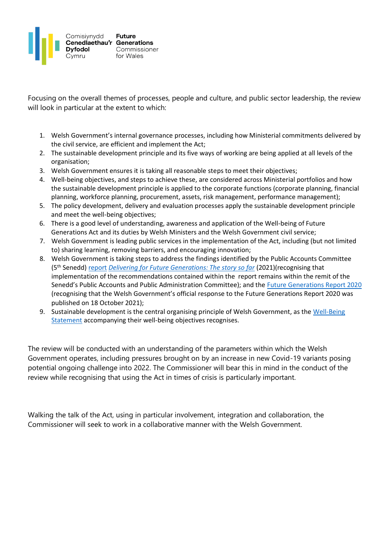

Focusing on the overall themes of processes, people and culture, and public sector leadership, the review will look in particular at the extent to which:

- 1. Welsh Government's internal governance processes, including how Ministerial commitments delivered by the civil service, are efficient and implement the Act;
- 2. The sustainable development principle and its five ways of working are being applied at all levels of the organisation;
- 3. Welsh Government ensures it is taking all reasonable steps to meet their objectives;
- 4. Well-being objectives, and steps to achieve these, are considered across Ministerial portfolios and how the sustainable development principle is applied to the corporate functions (corporate planning, financial planning, workforce planning, procurement, assets, risk management, performance management);
- 5. The policy development, delivery and evaluation processes apply the sustainable development principle and meet the well-being objectives;
- 6. There is a good level of understanding, awareness and application of the Well-being of Future Generations Act and its duties by Welsh Ministers and the Welsh Government civil service;
- 7. Welsh Government is leading public services in the implementation of the Act, including (but not limited to) sharing learning, removing barriers, and encouraging innovation;
- 8. Welsh Government is taking steps to address the findings identified by the Public Accounts Committee (5th Senedd) [report](https://senedd.wales/senedd-now/senedd-blog/delivering-for-future-generations-the-story-so-far/) *[Delivering for Future Generations: The story so far](https://senedd.wales/media/sjrp5vm0/cr-ld14223-e.pdf)* (2021)(recognising that implementation of the recommendations contained within the report remains within the remit of the Senedd's Public Accounts and Public Administration Committee); and the [Future Generations Report 2020](https://www.futuregenerations.wales/wp-content/uploads/2020/05/FGC-Report-English.pdf) (recognising that the Welsh Government's official response to the Future Generations Report 2020 was published on 18 October 2021);
- 9. Sustainable development is the central organising principle of Welsh Government, as the Well-Being [Statement](https://gov.wales/sites/default/files/publications/2021-06/programme-for-government-2021-to-2026-well-being-statement.pdf) accompanying their well-being objectives recognises.

The review will be conducted with an understanding of the parameters within which the Welsh Government operates, including pressures brought on by an increase in new Covid-19 variants posing potential ongoing challenge into 2022. The Commissioner will bear this in mind in the conduct of the review while recognising that using the Act in times of crisis is particularly important.

Walking the talk of the Act, using in particular involvement, integration and collaboration, the Commissioner will seek to work in a collaborative manner with the Welsh Government.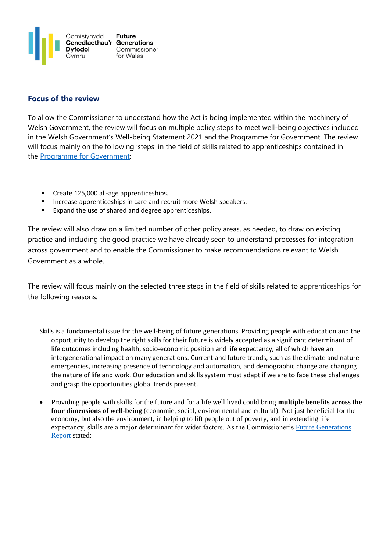

## **Focus of the review**

To allow the Commissioner to understand how the Act is being implemented within the machinery of Welsh Government, the review will focus on multiple policy steps to meet well-being objectives included in the Welsh Government's Well-being Statement 2021 and the Programme for Government. The review will focus mainly on the following 'steps' in the field of skills related to apprenticeships contained in the [Programme for Government:](https://gov.wales/sites/default/files/publications/2021-06/programme-for-government-2021-to-2026.pdf)

- Create 125,000 all-age apprenticeships.
- Increase apprenticeships in care and recruit more Welsh speakers.
- Expand the use of shared and degree apprenticeships.

The review will also draw on a limited number of other policy areas, as needed, to draw on existing practice and including the good practice we have already seen to understand processes for integration across government and to enable the Commissioner to make recommendations relevant to Welsh Government as a whole.

The review will focus mainly on the selected three steps in the field of skills related to apprenticeships for the following reasons:

- Skills is a fundamental issue for the well-being of future generations. Providing people with education and the opportunity to develop the right skills for their future is widely accepted as a significant determinant of life outcomes including health, socio-economic position and life expectancy, all of which have an intergenerational impact on many generations. Current and future trends, such as the climate and nature emergencies, increasing presence of technology and automation, and demographic change are changing the nature of life and work. Our education and skills system must adapt if we are to face these challenges and grasp the opportunities global trends present.
- Providing people with skills for the future and for a life well lived could bring **multiple benefits across the four dimensions of well-being** (economic, social, environmental and cultural). Not just beneficial for the economy, but also the environment, in helping to lift people out of poverty, and in extending life expectancy, skills are a major determinant for wider factors. As the Commissioner's [Future Generations](https://www.futuregenerations.wales/wp-content/uploads/2020/05/FGC-Report-English.pdf)  [Report](https://www.futuregenerations.wales/wp-content/uploads/2020/05/FGC-Report-English.pdf) stated: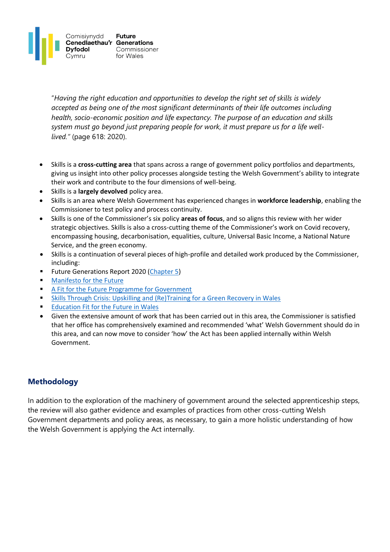

"*Having the right education and opportunities to develop the right set of skills is widely accepted as being one of the most significant determinants of their life outcomes including health, socio-economic position and life expectancy. The purpose of an education and skills system must go beyond just preparing people for work, it must prepare us for a life welllived."* (page 618: 2020).

- Skills is a **cross-cutting area** that spans across a range of government policy portfolios and departments, giving us insight into other policy processes alongside testing the Welsh Government's ability to integrate their work and contribute to the four dimensions of well-being.
- Skills is a **largely devolved** policy area.
- Skills is an area where Welsh Government has experienced changes in **workforce leadership**, enabling the Commissioner to test policy and process continuity.
- Skills is one of the Commissioner's six policy **areas of focus**, and so aligns this review with her wider strategic objectives. Skills is also a cross-cutting theme of the Commissioner's work on Covid recovery, encompassing housing, decarbonisation, equalities, culture, Universal Basic Income, a National Nature Service, and the green economy.
- Skills is a continuation of several pieces of high-profile and detailed work produced by the Commissioner, including:
- **EXECTE:** Future Generations Report 2020 [\(Chapter 5\)](https://www.futuregenerations.wales/wp-content/uploads/2020/06/Chap-5-Skills-for-the-Future.pdf)
- **[Manifesto for the Future](https://www.futuregenerations.wales/wp-content/uploads/2020/10/Manifesto-for-the-Future-FGCW1.pdf)**
- [A Fit for the Future Programme for Government](https://www.futuregenerations.wales/wp-content/uploads/2021/05/FGC-A-Fit-for-the-Future-Programme-for-Government.pdf)
- [Skills Through Crisis: Upskilling and \(Re\)Training for a Green Recovery in Wales](https://www.futuregenerations.wales/resources_posts/skills-through-crisis-upskilling-and-retraining-for-a-green-recovery-in-wales/)
- **[Education Fit for the Future in Wales](https://www.futuregenerations.wales/wp-content/uploads/2019/10/2019-10-16-Fit-for-the-Future-Education-in-Wales-1-1.pdf)**
- Given the extensive amount of work that has been carried out in this area, the Commissioner is satisfied that her office has comprehensively examined and recommended 'what' Welsh Government should do in this area, and can now move to consider 'how' the Act has been applied internally within Welsh Government.

# **Methodology**

In addition to the exploration of the machinery of government around the selected apprenticeship steps, the review will also gather evidence and examples of practices from other cross-cutting Welsh Government departments and policy areas, as necessary, to gain a more holistic understanding of how the Welsh Government is applying the Act internally.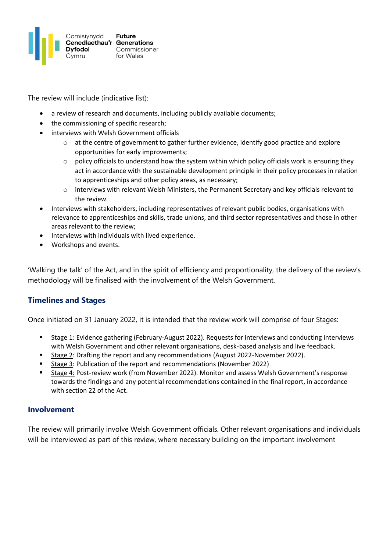

The review will include (indicative list):

- a review of research and documents, including publicly available documents;
- the commissioning of specific research:
- interviews with Welsh Government officials
	- o at the centre of government to gather further evidence, identify good practice and explore opportunities for early improvements;
	- o policy officials to understand how the system within which policy officials work is ensuring they act in accordance with the sustainable development principle in their policy processes in relation to apprenticeships and other policy areas, as necessary;
	- o interviews with relevant Welsh Ministers, the Permanent Secretary and key officials relevant to the review.
- Interviews with stakeholders, including representatives of relevant public bodies, organisations with relevance to apprenticeships and skills, trade unions, and third sector representatives and those in other areas relevant to the review;
- Interviews with individuals with lived experience.
- Workshops and events.

'Walking the talk' of the Act, and in the spirit of efficiency and proportionality, the delivery of the review's methodology will be finalised with the involvement of the Welsh Government.

# **Timelines and Stages**

Once initiated on 31 January 2022, it is intended that the review work will comprise of four Stages:

- Stage 1: Evidence gathering (February-August 2022). Requests for interviews and conducting interviews with Welsh Government and other relevant organisations, desk-based analysis and live feedback.
- Stage 2: Drafting the report and any recommendations (August 2022-November 2022).
- Stage 3: Publication of the report and recommendations (November 2022)
- Stage 4: Post-review work (from November 2022). Monitor and assess Welsh Government's response towards the findings and any potential recommendations contained in the final report, in accordance with section 22 of the Act.

## **Involvement**

The review will primarily involve Welsh Government officials. Other relevant organisations and individuals will be interviewed as part of this review, where necessary building on the important involvement